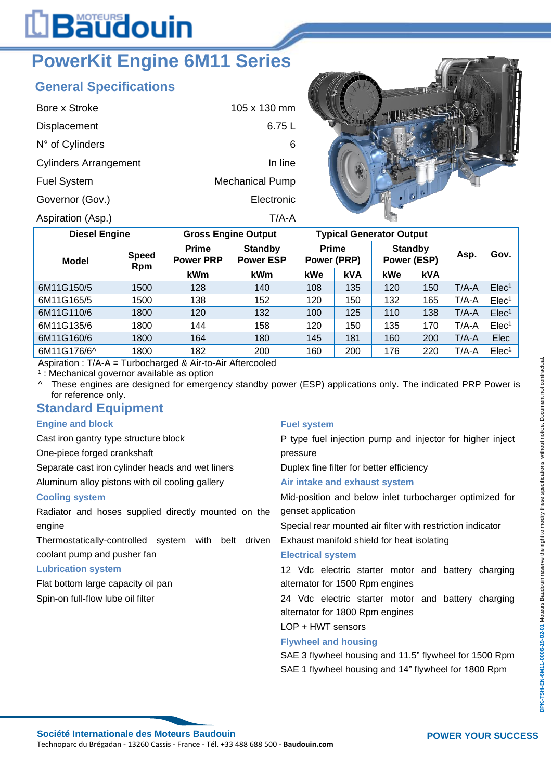# L**Bäudouin**

## **PowerKit Engine 6M11 Series**

### **General Specifications**

| Bore x Stroke                | $105 \times 130$ mm    |
|------------------------------|------------------------|
| Displacement                 | 6.75 L                 |
| N° of Cylinders              | 6                      |
| <b>Cylinders Arrangement</b> | In line                |
| <b>Fuel System</b>           | <b>Mechanical Pump</b> |
| Governor (Gov.)              | Electronic             |
| Aspiration (Asp.)            | T/A-A                  |



| <b>Diesel Engine</b> |                     | <b>Gross Engine Output</b>       |                                    | <b>Typical Generator Output</b> |            |                               |            |         |                   |
|----------------------|---------------------|----------------------------------|------------------------------------|---------------------------------|------------|-------------------------------|------------|---------|-------------------|
| Model                | <b>Speed</b><br>Rpm | <b>Prime</b><br><b>Power PRP</b> | <b>Standby</b><br><b>Power ESP</b> | <b>Prime</b><br>Power (PRP)     |            | <b>Standby</b><br>Power (ESP) |            | Asp.    | Gov.              |
|                      |                     | <b>kWm</b>                       | kWm                                | kWe                             | <b>kVA</b> | kWe                           | <b>kVA</b> |         |                   |
| 6M11G150/5           | 1500                | 128                              | 140                                | 108                             | 135        | 120                           | 150        | $T/A-A$ | Elec <sup>1</sup> |
| 6M11G165/5           | 1500                | 138                              | 152                                | 120                             | 150        | 132                           | 165        | $T/A-A$ | Elec <sup>1</sup> |
| 6M11G110/6           | 1800                | 120                              | 132                                | 100                             | 125        | 110                           | 138        | $T/A-A$ | Elec <sup>1</sup> |
| 6M11G135/6           | 1800                | 144                              | 158                                | 120                             | 150        | 135                           | 170        | $T/A-A$ | Elec <sup>1</sup> |
| 6M11G160/6           | 1800                | 164                              | 180                                | 145                             | 181        | 160                           | 200        | $T/A-A$ | Elec              |
| 6M11G176/6^          | 1800                | 182                              | 200                                | 160                             | 200        | 176                           | 220        | $T/A-A$ | Elec <sup>1</sup> |

Aspiration : T/A-A = Turbocharged & Air-to-Air Aftercooled

<sup>1</sup> : Mechanical governor available as option

^ These engines are designed for emergency standby power (ESP) applications only. The indicated PRP Power is for reference only.

#### **Standard Equipment**

#### **Engine and block**

Cast iron gantry type structure block

One-piece forged crankshaft

Separate cast iron cylinder heads and wet liners

Aluminum alloy pistons with oil cooling gallery

#### **Cooling system**

Radiator and hoses supplied directly mounted on the engine

Thermostatically-controlled system with belt driven coolant pump and pusher fan

#### **Lubrication system**

Flat bottom large capacity oil pan Spin-on full-flow lube oil filter

#### **Fuel system**

P type fuel injection pump and injector for higher inject pressure

Duplex fine filter for better efficiency

#### **Air intake and exhaust system**

Mid-position and below inlet turbocharger optimized for genset application

Special rear mounted air filter with restriction indicator

Exhaust manifold shield for heat isolating

#### **Electrical system**

12 Vdc electric starter motor and battery charging alternator for 1500 Rpm engines

24 Vdc electric starter motor and battery charging alternator for 1800 Rpm engines

LOP + HWT sensors

#### **Flywheel and housing**

SAE 3 flywheel housing and 11.5" flywheel for 1500 Rpm SAE 1 flywheel housing and 14" flywheel for 1800 Rpm